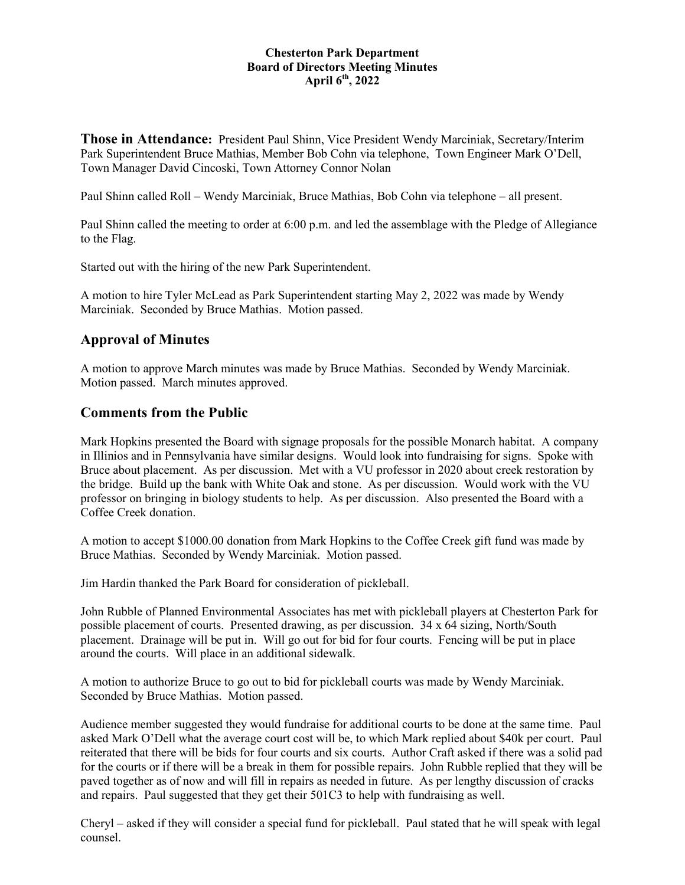#### **Chesterton Park Department Board of Directors Meeting Minutes April 6 th , 2022**

**Those in Attendance:** President Paul Shinn, Vice President Wendy Marciniak, Secretary/Interim Park Superintendent Bruce Mathias, Member Bob Cohn via telephone, Town Engineer Mark O'Dell, Town Manager David Cincoski, Town Attorney Connor Nolan

Paul Shinn called Roll – Wendy Marciniak, Bruce Mathias, Bob Cohn via telephone – all present.

Paul Shinn called the meeting to order at 6:00 p.m. and led the assemblage with the Pledge of Allegiance to the Flag.

Started out with the hiring of the new Park Superintendent.

A motion to hire Tyler McLead as Park Superintendent starting May 2, 2022 was made by Wendy Marciniak. Seconded by Bruce Mathias. Motion passed.

### **Approval of Minutes**

A motion to approve March minutes was made by Bruce Mathias. Seconded by Wendy Marciniak. Motion passed. March minutes approved.

#### **Comments from the Public**

Mark Hopkins presented the Board with signage proposals for the possible Monarch habitat. A company in Illinios and in Pennsylvania have similar designs. Would look into fundraising for signs. Spoke with Bruce about placement. As per discussion. Met with a VU professor in 2020 about creek restoration by the bridge. Build up the bank with White Oak and stone. As per discussion. Would work with the VU professor on bringing in biology students to help. As per discussion. Also presented the Board with a Coffee Creek donation.

A motion to accept \$1000.00 donation from Mark Hopkins to the Coffee Creek gift fund was made by Bruce Mathias. Seconded by Wendy Marciniak. Motion passed.

Jim Hardin thanked the Park Board for consideration of pickleball.

John Rubble of Planned Environmental Associates has met with pickleball players at Chesterton Park for possible placement of courts. Presented drawing, as per discussion. 34 x 64 sizing, North/South placement. Drainage will be put in. Will go out for bid for four courts. Fencing will be put in place around the courts. Will place in an additional sidewalk.

A motion to authorize Bruce to go out to bid for pickleball courts was made by Wendy Marciniak. Seconded by Bruce Mathias. Motion passed.

Audience member suggested they would fundraise for additional courts to be done at the same time. Paul asked Mark O'Dell what the average court cost will be, to which Mark replied about \$40k per court. Paul reiterated that there will be bids for four courts and six courts. Author Craft asked if there was a solid pad for the courts or if there will be a break in them for possible repairs. John Rubble replied that they will be paved together as of now and will fill in repairs as needed in future. As per lengthy discussion of cracks and repairs. Paul suggested that they get their 501C3 to help with fundraising as well.

Cheryl – asked if they will consider a special fund for pickleball. Paul stated that he will speak with legal counsel.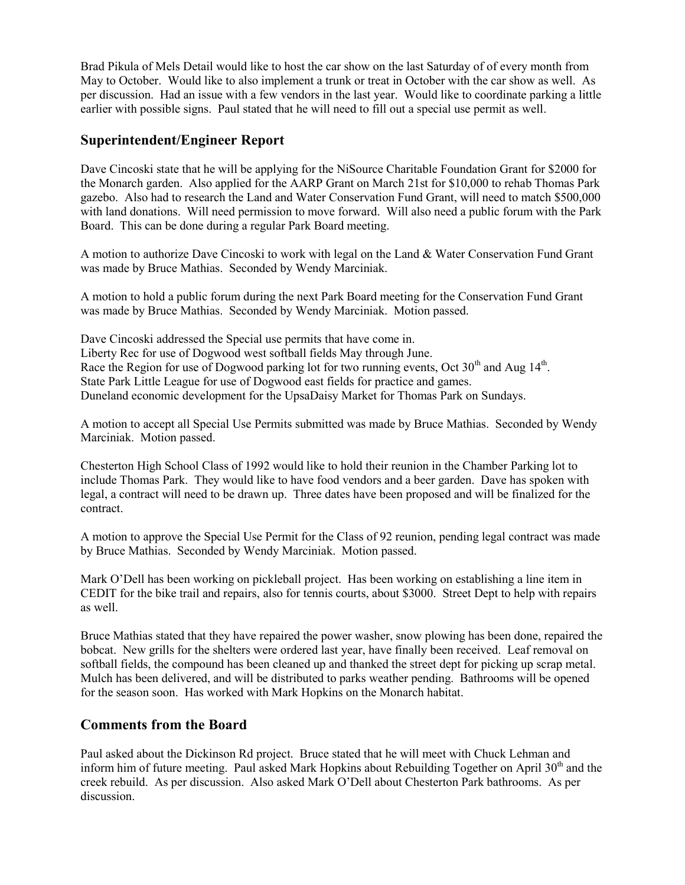Brad Pikula of Mels Detail would like to host the car show on the last Saturday of of every month from May to October. Would like to also implement a trunk or treat in October with the car show as well. As per discussion. Had an issue with a few vendors in the last year. Would like to coordinate parking a little earlier with possible signs. Paul stated that he will need to fill out a special use permit as well.

## **Superintendent/Engineer Report**

Dave Cincoski state that he will be applying for the NiSource Charitable Foundation Grant for \$2000 for the Monarch garden. Also applied for the AARP Grant on March 21st for \$10,000 to rehab Thomas Park gazebo. Also had to research the Land and Water Conservation Fund Grant, will need to match \$500,000 with land donations. Will need permission to move forward. Will also need a public forum with the Park Board. This can be done during a regular Park Board meeting.

A motion to authorize Dave Cincoski to work with legal on the Land & Water Conservation Fund Grant was made by Bruce Mathias. Seconded by Wendy Marciniak.

A motion to hold a public forum during the next Park Board meeting for the Conservation Fund Grant was made by Bruce Mathias. Seconded by Wendy Marciniak. Motion passed.

Dave Cincoski addressed the Special use permits that have come in. Liberty Rec for use of Dogwood west softball fields May through June. Race the Region for use of Dogwood parking lot for two running events, Oct 30<sup>th</sup> and Aug 14<sup>th</sup>. State Park Little League for use of Dogwood east fields for practice and games. Duneland economic development for the UpsaDaisy Market for Thomas Park on Sundays.

A motion to accept all Special Use Permits submitted was made by Bruce Mathias. Seconded by Wendy Marciniak. Motion passed.

Chesterton High School Class of 1992 would like to hold their reunion in the Chamber Parking lot to include Thomas Park. They would like to have food vendors and a beer garden. Dave has spoken with legal, a contract will need to be drawn up. Three dates have been proposed and will be finalized for the contract.

A motion to approve the Special Use Permit for the Class of 92 reunion, pending legal contract was made by Bruce Mathias. Seconded by Wendy Marciniak. Motion passed.

Mark O'Dell has been working on pickleball project. Has been working on establishing a line item in CEDIT for the bike trail and repairs, also for tennis courts, about \$3000. Street Dept to help with repairs as well.

Bruce Mathias stated that they have repaired the power washer, snow plowing has been done, repaired the bobcat. New grills for the shelters were ordered last year, have finally been received. Leaf removal on softball fields, the compound has been cleaned up and thanked the street dept for picking up scrap metal. Mulch has been delivered, and will be distributed to parks weather pending. Bathrooms will be opened for the season soon. Has worked with Mark Hopkins on the Monarch habitat.

### **Comments from the Board**

Paul asked about the Dickinson Rd project. Bruce stated that he will meet with Chuck Lehman and inform him of future meeting. Paul asked Mark Hopkins about Rebuilding Together on April  $30<sup>th</sup>$  and the creek rebuild. As per discussion. Also asked Mark O'Dell about Chesterton Park bathrooms. As per discussion.